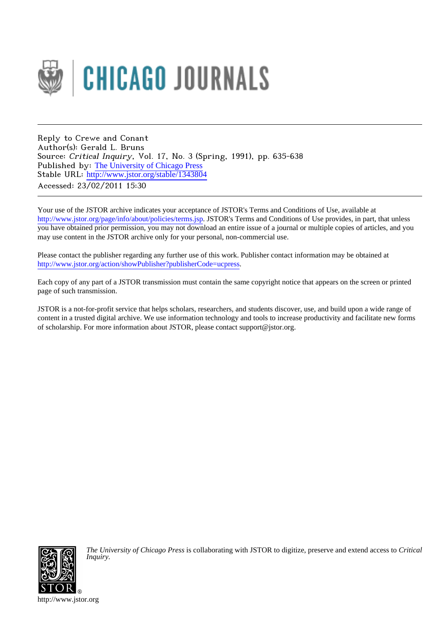

Reply to Crewe and Conant Author(s): Gerald L. Bruns Source: Critical Inquiry, Vol. 17, No. 3 (Spring, 1991), pp. 635-638 Published by: [The University of Chicago Press](http://www.jstor.org/action/showPublisher?publisherCode=ucpress) Stable URL: [http://www.jstor.org/stable/1343804](http://www.jstor.org/stable/1343804?origin=JSTOR-pdf) Accessed: 23/02/2011 15:30

Your use of the JSTOR archive indicates your acceptance of JSTOR's Terms and Conditions of Use, available at <http://www.jstor.org/page/info/about/policies/terms.jsp>. JSTOR's Terms and Conditions of Use provides, in part, that unless you have obtained prior permission, you may not download an entire issue of a journal or multiple copies of articles, and you may use content in the JSTOR archive only for your personal, non-commercial use.

Please contact the publisher regarding any further use of this work. Publisher contact information may be obtained at [http://www.jstor.org/action/showPublisher?publisherCode=ucpress.](http://www.jstor.org/action/showPublisher?publisherCode=ucpress)

Each copy of any part of a JSTOR transmission must contain the same copyright notice that appears on the screen or printed page of such transmission.

JSTOR is a not-for-profit service that helps scholars, researchers, and students discover, use, and build upon a wide range of content in a trusted digital archive. We use information technology and tools to increase productivity and facilitate new forms of scholarship. For more information about JSTOR, please contact support@jstor.org.



*The University of Chicago Press* is collaborating with JSTOR to digitize, preserve and extend access to *Critical Inquiry.*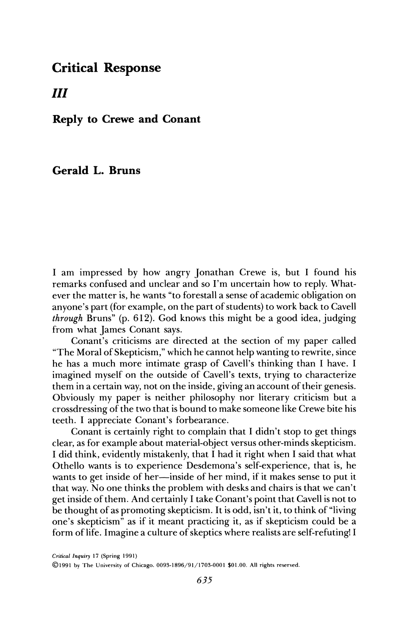## **Critical Response**

## **III**

## **Reply to Crewe and Conant**

**Gerald L. Bruns** 

**I am impressed by how angry Jonathan Crewe is, but I found his remarks confused and unclear and so I'm uncertain how to reply. Whatever the matter is, he wants "to forestall a sense of academic obligation on anyone's part (for example, on the part of students) to work back to Cavell through Bruns" (p. 612). God knows this might be a good idea, judging from what James Conant says.** 

**Conant's criticisms are directed at the section of my paper called "The Moral of Skepticism," which he cannot help wanting to rewrite, since he has a much more intimate grasp of Cavell's thinking than I have. I imagined myself on the outside of Cavell's texts, trying to characterize them in a certain way, not on the inside, giving an account of their genesis. Obviously my paper is neither philosophy nor literary criticism but a crossdressing of the two that is bound to make someone like Crewe bite his teeth. I appreciate Conant's forbearance.** 

**Conant is certainly right to complain that I didn't stop to get things clear, as for example about material-object versus other-minds skepticism. I did think, evidently mistakenly, that I had it right when I said that what Othello wants is to experience Desdemona's self-experience, that is, he**  wants to get inside of her—inside of her mind, if it makes sense to put it **that way. No one thinks the problem with desks and chairs is that we can't get inside of them. And certainly I take Conant's point that Cavell is not to be thought of as promoting skepticism. It is odd, isn't it, to think of "living one's skepticism" as if it meant practicing it, as if skepticism could be a form of life. Imagine a culture of skeptics where realists are self-refuting! I** 

**Critical Inquiry 17 (Spring 1991)** 

**<sup>?1991</sup> by The University of Chicago. 0093-1896/91/1703-0001 \$01.00. All rights reserved.**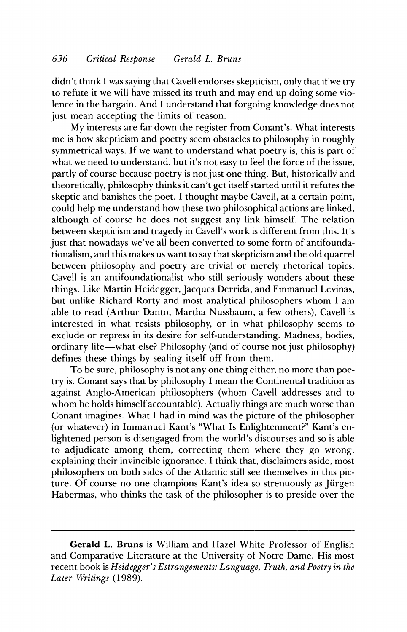**didn't think I was saying that Cavell endorses skepticism, only that if we try to refute it we will have missed its truth and may end up doing some violence in the bargain. And I understand that forgoing knowledge does not just mean accepting the limits of reason.** 

**My interests are far down the register from Conant's. What interests me is how skepticism and poetry seem obstacles to philosophy in roughly symmetrical ways. If we want to understand what poetry is, this is part of what we need to understand, but it's not easy to feel the force of the issue, partly of course because poetry is not just one thing. But, historically and theoretically, philosophy thinks it can't get itself started until it refutes the skeptic and banishes the poet. I thought maybe Cavell, at a certain point, could help me understand how these two philosophical actions are linked, although of course he does not suggest any link himself. The relation between skepticism and tragedy in Cavell's work is different from this. It's just that nowadays we've all been converted to some form of antifoundationalism, and this makes us want to say that skepticism and the old quarrel between philosophy and poetry are trivial or merely rhetorical topics. Cavell is an antifoundationalist who still seriously wonders about these things. Like Martin Heidegger, Jacques Derrida, and Emmanuel Levinas, but unlike Richard Rorty and most analytical philosophers whom I am able to read (Arthur Danto, Martha Nussbaum, a few others), Cavell is interested in what resists philosophy, or in what philosophy seems to exclude or repress in its desire for self-understanding. Madness, bodies, ordinary life-what else? Philosophy (and of course not just philosophy) defines these things by sealing itself off from them.** 

**To be sure, philosophy is not any one thing either, no more than poetry is. Conant says that by philosophy I mean the Continental tradition as against Anglo-American philosophers (whom Cavell addresses and to whom he holds himself accountable). Actually things are much worse than Conant imagines. What I had in mind was the picture of the philosopher (or whatever) in Immanuel Kant's "What Is Enlightenment?" Kant's enlightened person is disengaged from the world's discourses and so is able to adjudicate among them, correcting them where they go wrong, explaining their invincible ignorance. I think that, disclaimers aside, most philosophers on both sides of the Atlantic still see themselves in this picture. Of course no one champions Kant's idea so strenuously as Jiirgen Habermas, who thinks the task of the philosopher is to preside over the** 

**Gerald L. Bruns is William and Hazel White Professor of English and Comparative Literature at the University of Notre Dame. His most recent book is Heidegger's Estrangements: Language, Truth, and Poetry in the Later Writings (1989).**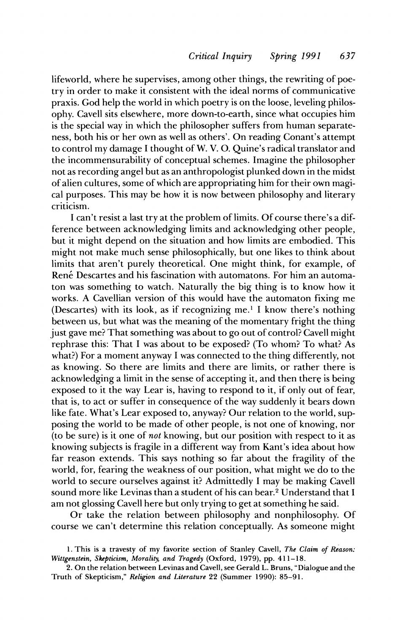**lifeworld, where he supervises, among other things, the rewriting of poetry in order to make it consistent with the ideal norms of communicative praxis. God help the world in which poetry is on the loose, leveling philosophy. Cavell sits elsewhere, more down-to-earth, since what occupies him is the special way in which the philosopher suffers from human separateness, both his or her own as well as others'. On reading Conant's attempt to control my damage I thought of W. V. O. Quine's radical translator and the incommensurability of conceptual schemes. Imagine the philosopher not as recording angel but as an anthropologist plunked down in the midst of alien cultures, some of which are appropriating him for their own magical purposes. This may be how it is now between philosophy and literary criticism.** 

**I can't resist a last try at the problem of limits. Of course there's a difference between acknowledging limits and acknowledging other people, but it might depend on the situation and how limits are embodied. This might not make much sense philosophically, but one likes to think about limits that aren't purely theoretical. One might think, for example, of**  René Descartes and his fascination with automatons. For him an automa**ton was something to watch. Naturally the big thing is to know how it works. A Cavellian version of this would have the automaton fixing me (Descartes) with its look, as if recognizing me.' I know there's nothing between us, but what was the meaning of the momentary fright the thing just gave me? That something was about to go out of control? Cavell might rephrase this: That I was about to be exposed? (To whom? To what? As what?) For a moment anyway I was connected to the thing differently, not as knowing. So there are limits and there are limits, or rather there is acknowledging a limit in the sense of accepting it, and then there is being exposed to it the way Lear is, having to respond to it, if only out of fear, that is, to act or suffer in consequence of the way suddenly it bears down like fate. What's Lear exposed to, anyway? Our relation to the world, supposing the world to be made of other people, is not one of knowing, nor (to be sure) is it one of not knowing, but our position with respect to it as knowing subjects is fragile in a different way from Kant's idea about how far reason extends. This says nothing so far about the fragility of the world, for, fearing the weakness of our position, what might we do to the world to secure ourselves against it? Admittedly I may be making Cavell sound more like Levinas than a student of his can bear.2 Understand that I am not glossing Cavell here but only trying to get at something he said.** 

**Or take the relation between philosophy and nonphilosophy. Of course we can't determine this relation conceptually. As someone might** 

**<sup>1.</sup> This is a travesty of my favorite section of Stanley Cavell, The Claim of Reason: Wittgenstein, Skepticism, Morality, and Tragedy (Oxford, 1979), pp. 411-18.** 

**<sup>2.</sup> On the relation between Levinas and Cavell, see Gerald L. Bruns, "Dialogue and the Truth of Skepticism," Religion and Literature 22 (Summer 1990): 85-91.**